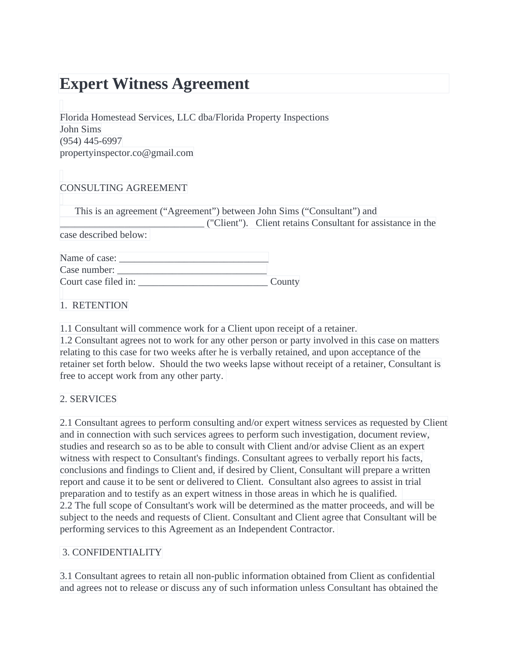# **Expert Witness Agreement**

Florida Homestead Services, LLC dba/Florida Property Inspections John Sims (954) 445-6997 propertyinspector.co@gmail.com

# CONSULTING AGREEMENT

This is an agreement ("Agreement") between John Sims ("Consultant") and

\_\_\_\_\_\_\_\_\_\_\_\_\_\_\_\_\_\_\_\_\_\_\_\_\_\_\_\_\_ ("Client"). Client retains Consultant for assistance in the case described below:

| Name of case:        |        |
|----------------------|--------|
| Case number:         |        |
| Court case filed in: | County |

1. RETENTION

1.1 Consultant will commence work for a Client upon receipt of a retainer.

1.2 Consultant agrees not to work for any other person or party involved in this case on matters relating to this case for two weeks after he is verbally retained, and upon acceptance of the retainer set forth below. Should the two weeks lapse without receipt of a retainer, Consultant is free to accept work from any other party.

# 2. SERVICES

2.1 Consultant agrees to perform consulting and/or expert witness services as requested by Client and in connection with such services agrees to perform such investigation, document review, studies and research so as to be able to consult with Client and/or advise Client as an expert witness with respect to Consultant's findings. Consultant agrees to verbally report his facts, conclusions and findings to Client and, if desired by Client, Consultant will prepare a written report and cause it to be sent or delivered to Client. Consultant also agrees to assist in trial preparation and to testify as an expert witness in those areas in which he is qualified. 2.2 The full scope of Consultant's work will be determined as the matter proceeds, and will be subject to the needs and requests of Client. Consultant and Client agree that Consultant will be performing services to this Agreement as an Independent Contractor.

# 3. CONFIDENTIALITY

3.1 Consultant agrees to retain all non-public information obtained from Client as confidential and agrees not to release or discuss any of such information unless Consultant has obtained the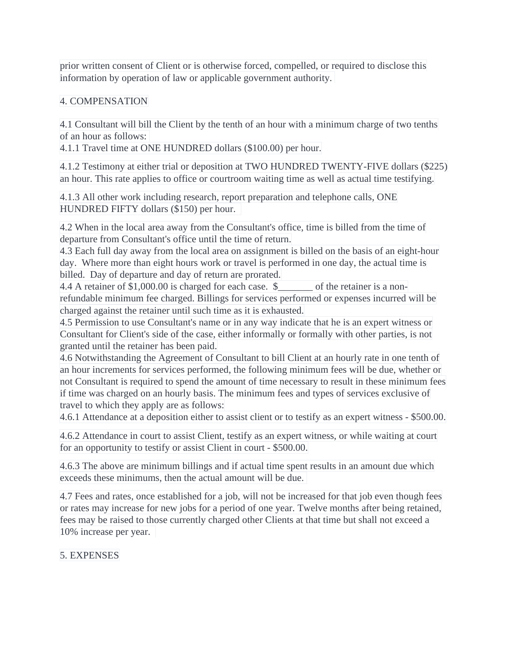prior written consent of Client or is otherwise forced, compelled, or required to disclose this information by operation of law or applicable government authority.

## 4. COMPENSATION

4.1 Consultant will bill the Client by the tenth of an hour with a minimum charge of two tenths of an hour as follows:

4.1.1 Travel time at ONE HUNDRED dollars (\$100.00) per hour.

4.1.2 Testimony at either trial or deposition at TWO HUNDRED TWENTY-FIVE dollars (\$225) an hour. This rate applies to office or courtroom waiting time as well as actual time testifying.

4.1.3 All other work including research, report preparation and telephone calls, ONE HUNDRED FIFTY dollars (\$150) per hour.

4.2 When in the local area away from the Consultant's office, time is billed from the time of departure from Consultant's office until the time of return.

4.3 Each full day away from the local area on assignment is billed on the basis of an eight-hour day. Where more than eight hours work or travel is performed in one day, the actual time is billed. Day of departure and day of return are prorated.

4.4 A retainer of \$1,000.00 is charged for each case. \$  $\qquad \qquad$  of the retainer is a nonrefundable minimum fee charged. Billings for services performed or expenses incurred will be charged against the retainer until such time as it is exhausted.

4.5 Permission to use Consultant's name or in any way indicate that he is an expert witness or Consultant for Client's side of the case, either informally or formally with other parties, is not granted until the retainer has been paid.

4.6 Notwithstanding the Agreement of Consultant to bill Client at an hourly rate in one tenth of an hour increments for services performed, the following minimum fees will be due, whether or not Consultant is required to spend the amount of time necessary to result in these minimum fees if time was charged on an hourly basis. The minimum fees and types of services exclusive of travel to which they apply are as follows:

4.6.1 Attendance at a deposition either to assist client or to testify as an expert witness - \$500.00.

4.6.2 Attendance in court to assist Client, testify as an expert witness, or while waiting at court for an opportunity to testify or assist Client in court - \$500.00.

4.6.3 The above are minimum billings and if actual time spent results in an amount due which exceeds these minimums, then the actual amount will be due.

4.7 Fees and rates, once established for a job, will not be increased for that job even though fees or rates may increase for new jobs for a period of one year. Twelve months after being retained, fees may be raised to those currently charged other Clients at that time but shall not exceed a 10% increase per year.

5. EXPENSES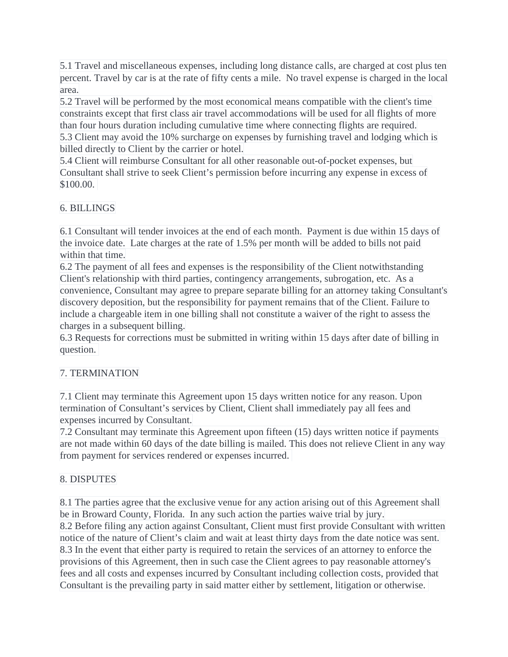5.1 Travel and miscellaneous expenses, including long distance calls, are charged at cost plus ten percent. Travel by car is at the rate of fifty cents a mile. No travel expense is charged in the local area.

5.2 Travel will be performed by the most economical means compatible with the client's time constraints except that first class air travel accommodations will be used for all flights of more than four hours duration including cumulative time where connecting flights are required.

5.3 Client may avoid the 10% surcharge on expenses by furnishing travel and lodging which is billed directly to Client by the carrier or hotel.

5.4 Client will reimburse Consultant for all other reasonable out-of-pocket expenses, but Consultant shall strive to seek Client's permission before incurring any expense in excess of \$100.00.

# 6. BILLINGS

6.1 Consultant will tender invoices at the end of each month. Payment is due within 15 days of the invoice date. Late charges at the rate of 1.5% per month will be added to bills not paid within that time.

6.2 The payment of all fees and expenses is the responsibility of the Client notwithstanding Client's relationship with third parties, contingency arrangements, subrogation, etc. As a convenience, Consultant may agree to prepare separate billing for an attorney taking Consultant's discovery deposition, but the responsibility for payment remains that of the Client. Failure to include a chargeable item in one billing shall not constitute a waiver of the right to assess the charges in a subsequent billing.

6.3 Requests for corrections must be submitted in writing within 15 days after date of billing in question.

# 7. TERMINATION

7.1 Client may terminate this Agreement upon 15 days written notice for any reason. Upon termination of Consultant's services by Client, Client shall immediately pay all fees and expenses incurred by Consultant.

7.2 Consultant may terminate this Agreement upon fifteen (15) days written notice if payments are not made within 60 days of the date billing is mailed. This does not relieve Client in any way from payment for services rendered or expenses incurred.

# 8. DISPUTES

8.1 The parties agree that the exclusive venue for any action arising out of this Agreement shall be in Broward County, Florida. In any such action the parties waive trial by jury. 8.2 Before filing any action against Consultant, Client must first provide Consultant with written notice of the nature of Client's claim and wait at least thirty days from the date notice was sent. 8.3 In the event that either party is required to retain the services of an attorney to enforce the provisions of this Agreement, then in such case the Client agrees to pay reasonable attorney's fees and all costs and expenses incurred by Consultant including collection costs, provided that Consultant is the prevailing party in said matter either by settlement, litigation or otherwise.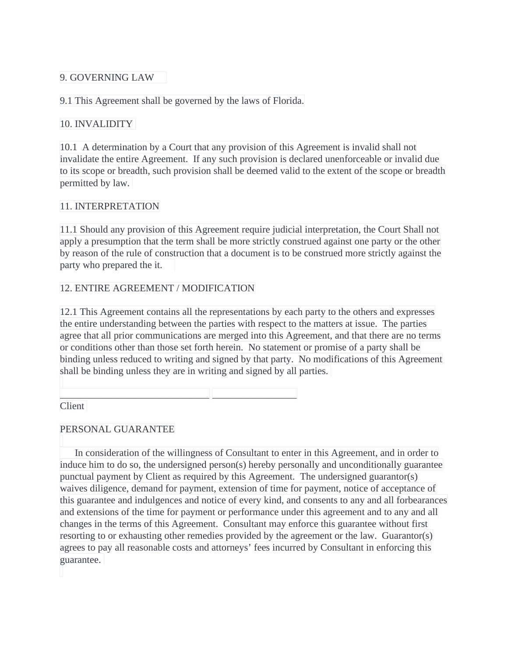## 9. GOVERNING LAW

9.1 This Agreement shall be governed by the laws of Florida.

#### 10. INVALIDITY

10.1 A determination by a Court that any provision of this Agreement is invalid shall not invalidate the entire Agreement. If any such provision is declared unenforceable or invalid due to its scope or breadth, such provision shall be deemed valid to the extent of the scope or breadth permitted by law.

#### 11. INTERPRETATION

11.1 Should any provision of this Agreement require judicial interpretation, the Court Shall not apply a presumption that the term shall be more strictly construed against one party or the other by reason of the rule of construction that a document is to be construed more strictly against the party who prepared the it.

## 12. ENTIRE AGREEMENT / MODIFICATION

\_\_\_\_\_\_\_\_\_\_\_\_\_\_\_\_\_\_\_\_\_\_\_\_\_\_\_\_\_\_ \_\_\_\_\_\_\_\_\_\_\_\_\_\_\_\_\_

12.1 This Agreement contains all the representations by each party to the others and expresses the entire understanding between the parties with respect to the matters at issue. The parties agree that all prior communications are merged into this Agreement, and that there are no terms or conditions other than those set forth herein. No statement or promise of a party shall be binding unless reduced to writing and signed by that party. No modifications of this Agreement shall be binding unless they are in writing and signed by all parties.

Client

## PERSONAL GUARANTEE

In consideration of the willingness of Consultant to enter in this Agreement, and in order to induce him to do so, the undersigned person(s) hereby personally and unconditionally guarantee punctual payment by Client as required by this Agreement. The undersigned guarantor(s) waives diligence, demand for payment, extension of time for payment, notice of acceptance of this guarantee and indulgences and notice of every kind, and consents to any and all forbearances and extensions of the time for payment or performance under this agreement and to any and all changes in the terms of this Agreement. Consultant may enforce this guarantee without first resorting to or exhausting other remedies provided by the agreement or the law. Guarantor(s) agrees to pay all reasonable costs and attorneys' fees incurred by Consultant in enforcing this guarantee.